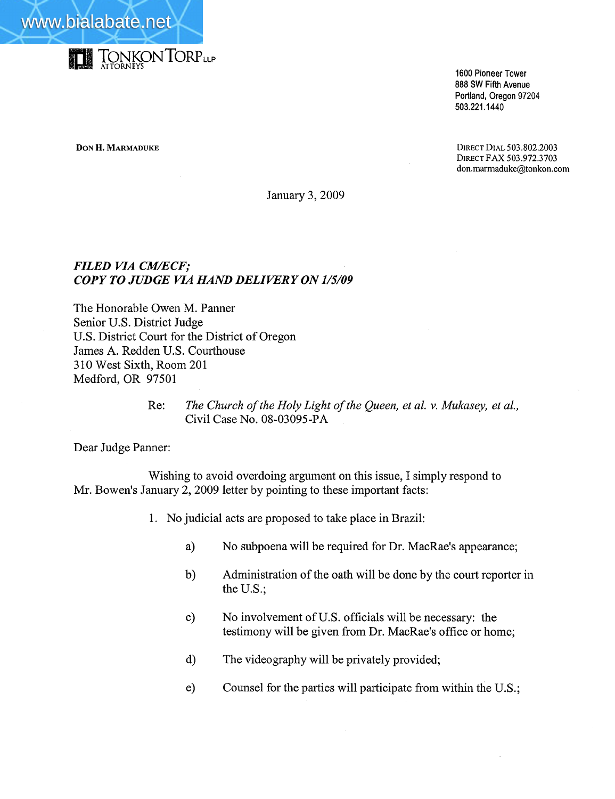



1600 Pioneer Tower 888 SW Fifth Avenue Portland, Oregon 97204 503.221.1440

**DON H. MARMADUKE** DIRECT DIAL 503.802.2003 DIRECT FAX 503.972.3703 don.marmaduke@tonkon.com

January 3,2009

## FILED VIA CM/ECF; COPY TO JUDGE VIA HAND DELIVERY ON 1/5/09

The Honorable Owen M. Panner Senior U.S. District Judge U.S. District Court for the District of Oregon James A. Redden U.S. Courthouse 310 West Sixth, Room 201 Medford, OR 97501

> Re: The Church of the Holy Light of the Queen, et al. v. Mukasey, et al., Civil Case No. 08-03095-PA

Dear Judge Panner:

Wishing to avoid overdoing argument on this issue, I simply respond to Mr. Bowen's January 2, 2009 letter by pointing to these important facts:

- 1. No judicial acts are proposed to take place in Brazil:
	- a) No subpoena will be required for Dr. MacRae's appearance;
	- b) Administration of the oath will be done by the court reporter in the U.S.;
	- c) No involvement of U.S. officials will be necessary: the testimony will be given from Dr. MacRae's office or home;
	- d) The videography will be privately provided;
	- e) Counsel for the parties will participate from within the U.S.;